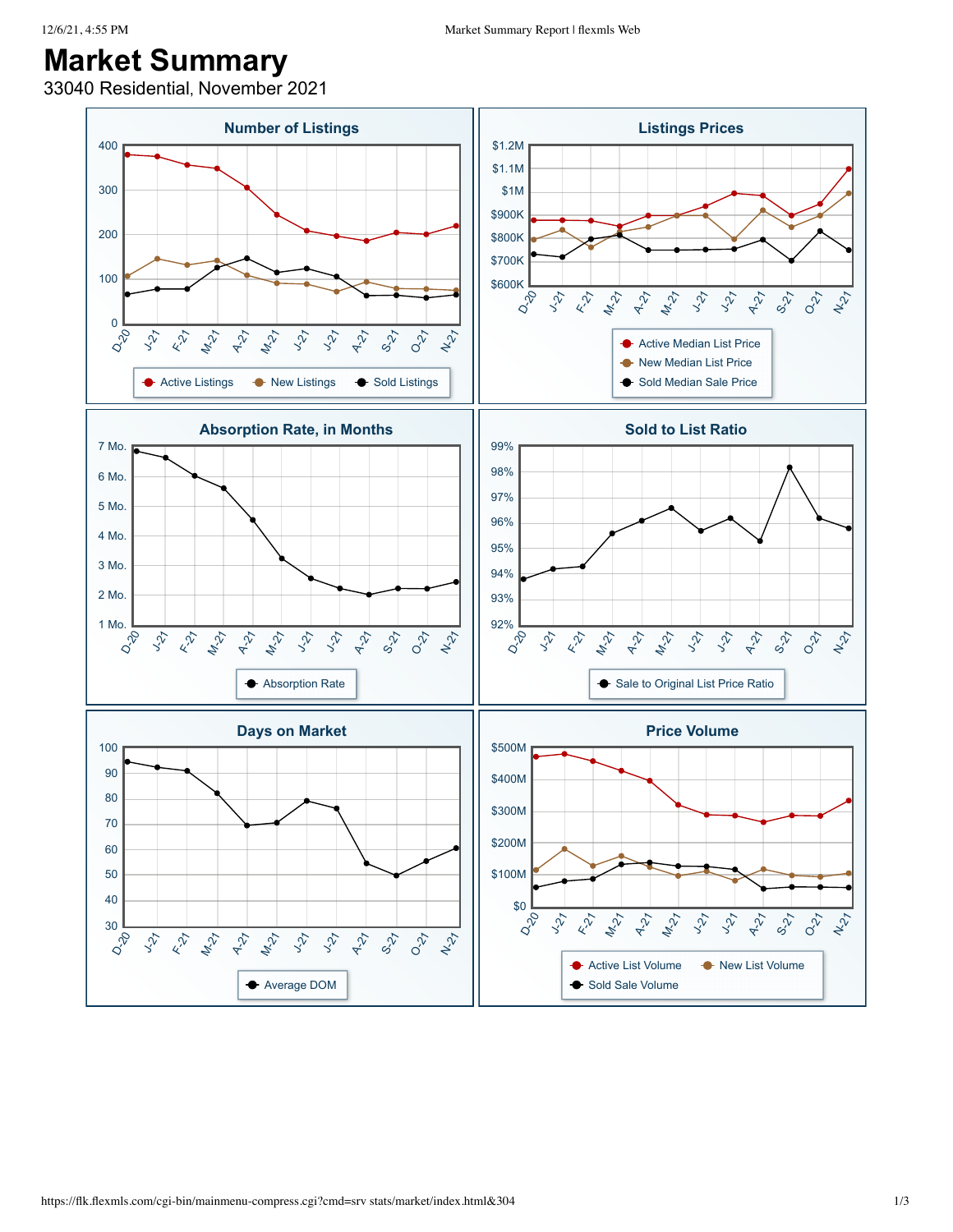## **Market Summary**

33040 Residential, November 2021

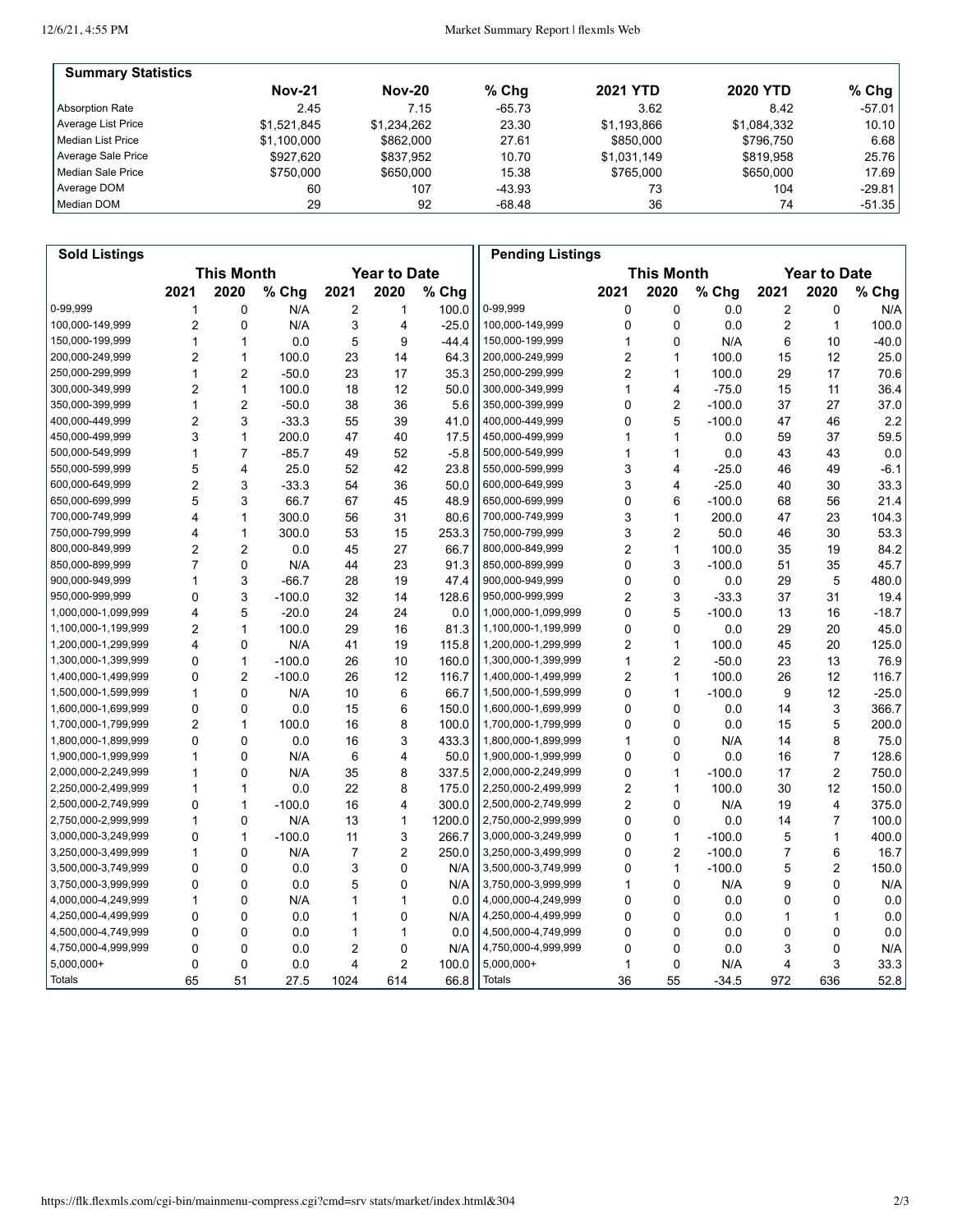12/6/21, 4:55 PM

Market Summary Report | flexmls Web

| <b>Summary Statistics</b> |               |               |          |                 |                 |          |
|---------------------------|---------------|---------------|----------|-----------------|-----------------|----------|
|                           | <b>Nov-21</b> | <b>Nov-20</b> | $%$ Chg  | <b>2021 YTD</b> | <b>2020 YTD</b> | % Chg    |
| Absorption Rate           | 2.45          | 7.15          | $-65.73$ | 3.62            | 8.42            | -57.01   |
| Average List Price        | \$1.521.845   | \$1.234.262   | 23.30    | \$1,193,866     | \$1,084,332     | 10.10    |
| Median List Price         | \$1,100,000   | \$862,000     | 27.61    | \$850,000       | \$796.750       | 6.68     |
| Average Sale Price        | \$927.620     | \$837,952     | 10.70    | \$1,031,149     | \$819.958       | 25.76    |
| l Median Sale Price       | \$750,000     | \$650,000     | 15.38    | \$765,000       | \$650,000       | 17.69    |
| Average DOM               | 60            | 107           | $-43.93$ | 73              | 104             | $-29.81$ |
| Median DOM                | 29            | 92            | -68.48   | 36              | 74              | $-51.35$ |

| <b>Sold Listings</b> |                |                   |          |      |                     |         | <b>Pending Listings</b> |                |                   |          |                |                     |         |
|----------------------|----------------|-------------------|----------|------|---------------------|---------|-------------------------|----------------|-------------------|----------|----------------|---------------------|---------|
|                      |                | <b>This Month</b> |          |      | <b>Year to Date</b> |         |                         |                | <b>This Month</b> |          |                | <b>Year to Date</b> |         |
|                      | 2021           | 2020              | % Chg    | 2021 | 2020                | $%$ Chg |                         | 2021           | 2020              | % Chg    | 2021           | 2020                | % Chg   |
| 0-99,999             | 1              | 0                 | N/A      | 2    | 1                   | 100.0   | 0-99,999                | 0              | 0                 | 0.0      | 2              | 0                   | N/A     |
| 100,000-149,999      | 2              | 0                 | N/A      | 3    | 4                   | $-25.0$ | 100,000-149,999         | 0              | $\mathbf 0$       | 0.0      | $\overline{2}$ | $\mathbf{1}$        | 100.0   |
| 150,000-199,999      | 1              | $\mathbf{1}$      | 0.0      | 5    | 9                   | $-44.4$ | 150,000-199,999         | 1              | $\mathbf 0$       | N/A      | 6              | 10                  | $-40.0$ |
| 200,000-249,999      | 2              | 1                 | 100.0    | 23   | 14                  | 64.3    | 200,000-249,999         | $\overline{c}$ | $\mathbf{1}$      | 100.0    | 15             | 12                  | 25.0    |
| 250,000-299,999      | 1              | $\overline{2}$    | $-50.0$  | 23   | 17                  | 35.3    | 250,000-299,999         | $\overline{c}$ | $\mathbf{1}$      | 100.0    | 29             | 17                  | 70.6    |
| 300,000-349,999      | 2              | 1                 | 100.0    | 18   | 12                  | 50.0    | 300,000-349,999         | 1              | 4                 | $-75.0$  | 15             | 11                  | 36.4    |
| 350,000-399,999      | $\mathbf{1}$   | $\overline{2}$    | $-50.0$  | 38   | 36                  | 5.6     | 350,000-399,999         | 0              | $\overline{c}$    | $-100.0$ | 37             | 27                  | 37.0    |
| 400,000-449,999      | 2              | 3                 | $-33.3$  | 55   | 39                  | 41.0    | 400,000-449,999         | 0              | 5                 | $-100.0$ | 47             | 46                  | 2.2     |
| 450,000-499,999      | 3              | 1                 | 200.0    | 47   | 40                  | 17.5    | 450,000-499,999         | 1              | $\mathbf{1}$      | 0.0      | 59             | 37                  | 59.5    |
| 500,000-549,999      | 1              | $\overline{7}$    | -85.7    | 49   | 52                  | $-5.8$  | 500,000-549,999         | 1              | $\mathbf{1}$      | 0.0      | 43             | 43                  | 0.0     |
| 550,000-599,999      | 5              | 4                 | 25.0     | 52   | 42                  | 23.8    | 550,000-599,999         | 3              | 4                 | $-25.0$  | 46             | 49                  | $-6.1$  |
| 600,000-649,999      | 2              | 3                 | $-33.3$  | 54   | 36                  | 50.0    | 600,000-649,999         | 3              | 4                 | $-25.0$  | 40             | 30                  | 33.3    |
| 650,000-699,999      | 5              | 3                 | 66.7     | 67   | 45                  | 48.9    | 650,000-699,999         | 0              | 6                 | $-100.0$ | 68             | 56                  | 21.4    |
| 700,000-749,999      | 4              | 1                 | 300.0    | 56   | 31                  | 80.6    | 700,000-749,999         | 3              | $\mathbf{1}$      | 200.0    | 47             | 23                  | 104.3   |
| 750,000-799,999      | 4              | $\mathbf{1}$      | 300.0    | 53   | 15                  | 253.3   | 750,000-799,999         | 3              | $\overline{2}$    | 50.0     | 46             | 30                  | 53.3    |
| 800,000-849,999      | 2              | 2                 | 0.0      | 45   | 27                  | 66.7    | 800,000-849,999         | 2              | $\mathbf{1}$      | 100.0    | 35             | 19                  | 84.2    |
| 850,000-899,999      | $\overline{7}$ | 0                 | N/A      | 44   | 23                  | 91.3    | 850,000-899,999         | 0              | $\mathsf 3$       | $-100.0$ | 51             | 35                  | 45.7    |
| 900,000-949,999      | 1              | 3                 | $-66.7$  | 28   | 19                  | 47.4    | 900,000-949,999         | $\Omega$       | 0                 | 0.0      | 29             | 5                   | 480.0   |
| 950,000-999,999      | 0              | 3                 | $-100.0$ | 32   | 14                  | 128.6   | 950,000-999,999         | $\overline{2}$ | 3                 | $-33.3$  | 37             | 31                  | 19.4    |
| 1,000,000-1,099,999  | 4              | 5                 | $-20.0$  | 24   | 24                  | 0.0     | 1,000,000-1,099,999     | 0              | 5                 | $-100.0$ | 13             | 16                  | $-18.7$ |
| 1,100,000-1,199,999  | 2              | 1                 | 100.0    | 29   | 16                  | 81.3    | 1,100,000-1,199,999     | 0              | 0                 | 0.0      | 29             | 20                  | 45.0    |
| 1,200,000-1,299,999  | 4              | 0                 | N/A      | 41   | 19                  | 115.8   | 1,200,000-1,299,999     | $\overline{2}$ | $\mathbf{1}$      | 100.0    | 45             | 20                  | 125.0   |
| 1,300,000-1,399,999  | 0              | $\mathbf{1}$      | $-100.0$ | 26   | 10                  | 160.0   | 1,300,000-1,399,999     | 1              | $\overline{2}$    | $-50.0$  | 23             | 13                  | 76.9    |
| 1,400,000-1,499,999  | 0              | 2                 | $-100.0$ | 26   | 12                  | 116.7   | 1,400,000-1,499,999     | 2              | $\mathbf{1}$      | 100.0    | 26             | 12                  | 116.7   |
| 1,500,000-1,599,999  | 1              | 0                 | N/A      | 10   | 6                   | 66.7    | 1,500,000-1,599,999     | 0              | $\mathbf{1}$      | $-100.0$ | 9              | 12                  | $-25.0$ |
| 1,600,000-1,699,999  | 0              | $\mathbf{0}$      | 0.0      | 15   | 6                   | 150.0   | 1,600,000-1,699,999     | 0              | $\Omega$          | 0.0      | 14             | 3                   | 366.7   |
| 1,700,000-1,799,999  | $\overline{c}$ | $\mathbf{1}$      | 100.0    | 16   | 8                   | 100.0   | 1,700,000-1,799,999     | 0              | $\mathbf 0$       | 0.0      | 15             | 5                   | 200.0   |
| 1,800,000-1,899,999  | 0              | 0                 | 0.0      | 16   | 3                   | 433.3   | 1,800,000-1,899,999     | 1              | 0                 | N/A      | 14             | 8                   | 75.0    |
| 1,900,000-1,999,999  | 1              | 0                 | N/A      | 6    | 4                   | 50.0    | 1,900,000-1,999,999     | 0              | $\mathbf{0}$      | 0.0      | 16             | $\overline{7}$      | 128.6   |
| 2,000,000-2,249,999  | 1              | 0                 | N/A      | 35   | 8                   | 337.5   | 2,000,000-2,249,999     | 0              | $\mathbf{1}$      | $-100.0$ | 17             | $\overline{2}$      | 750.0   |
| 2,250,000-2,499,999  | 1              | $\mathbf{1}$      | 0.0      | 22   | 8                   | 175.0   | 2,250,000-2,499,999     | $\overline{c}$ | $\mathbf{1}$      | 100.0    | 30             | 12                  | 150.0   |
| 2,500,000-2,749,999  | 0              | 1                 | $-100.0$ | 16   | 4                   | 300.0   | 2,500,000-2,749,999     | 2              | 0                 | N/A      | 19             | 4                   | 375.0   |
| 2,750,000-2,999,999  | 1              | 0                 | N/A      | 13   | $\mathbf{1}$        | 1200.0  | 2,750,000-2,999,999     | $\Omega$       | 0                 | 0.0      | 14             | $\overline{7}$      | 100.0   |
| 3,000,000-3,249,999  | 0              | $\mathbf{1}$      | $-100.0$ | 11   | 3                   | 266.7   | 3,000,000-3,249,999     | 0              | $\mathbf{1}$      | $-100.0$ | 5              | 1                   | 400.0   |
| 3,250,000-3,499,999  | 1              | 0                 | N/A      | 7    | $\overline{2}$      | 250.0   | 3,250,000-3,499,999     | 0              | $\overline{2}$    | $-100.0$ | 7              | 6                   | 16.7    |
| 3,500,000-3,749,999  | 0              | 0                 | 0.0      | 3    | 0                   | N/A     | 3,500,000-3,749,999     | 0              | $\mathbf{1}$      | $-100.0$ | 5              | 2                   | 150.0   |
| 3,750,000-3,999,999  | 0              | 0                 | 0.0      | 5    | 0                   | N/A     | 3,750,000-3,999,999     | 1              | 0                 | N/A      | 9              | 0                   | N/A     |
| 4,000,000-4,249,999  | 1              | $\Omega$          | N/A      | 1    | $\mathbf{1}$        | 0.0     | 4,000,000-4,249,999     | 0              | 0                 | 0.0      | 0              | 0                   | 0.0     |
| 4,250,000-4,499,999  | 0              | 0                 | 0.0      | 1    | 0                   | N/A     | 4,250,000-4,499,999     | 0              | $\mathbf 0$       | 0.0      | 1              | 1                   | 0.0     |
| 4,500,000-4,749,999  | 0              | $\mathbf{0}$      | 0.0      | 1    | 1                   | 0.0     | 4,500,000-4,749,999     | 0              | $\mathbf 0$       | 0.0      | 0              | $\mathbf 0$         | 0.0     |
| 4,750,000-4,999,999  | 0              | 0                 | 0.0      | 2    | 0                   | N/A     | 4,750,000-4,999,999     | 0              | $\Omega$          | 0.0      | 3              | 0                   | N/A     |
| 5,000,000+           | 0              | 0                 | 0.0      | 4    | $\overline{2}$      | 100.0   | 5,000,000+              | 1              | 0                 | N/A      | 4              | 3                   | 33.3    |
| Totals               | 65             | 51                | 27.5     | 1024 | 614                 | 66.8    | <b>Totals</b>           | 36             | 55                | $-34.5$  | 972            | 636                 | 52.8    |